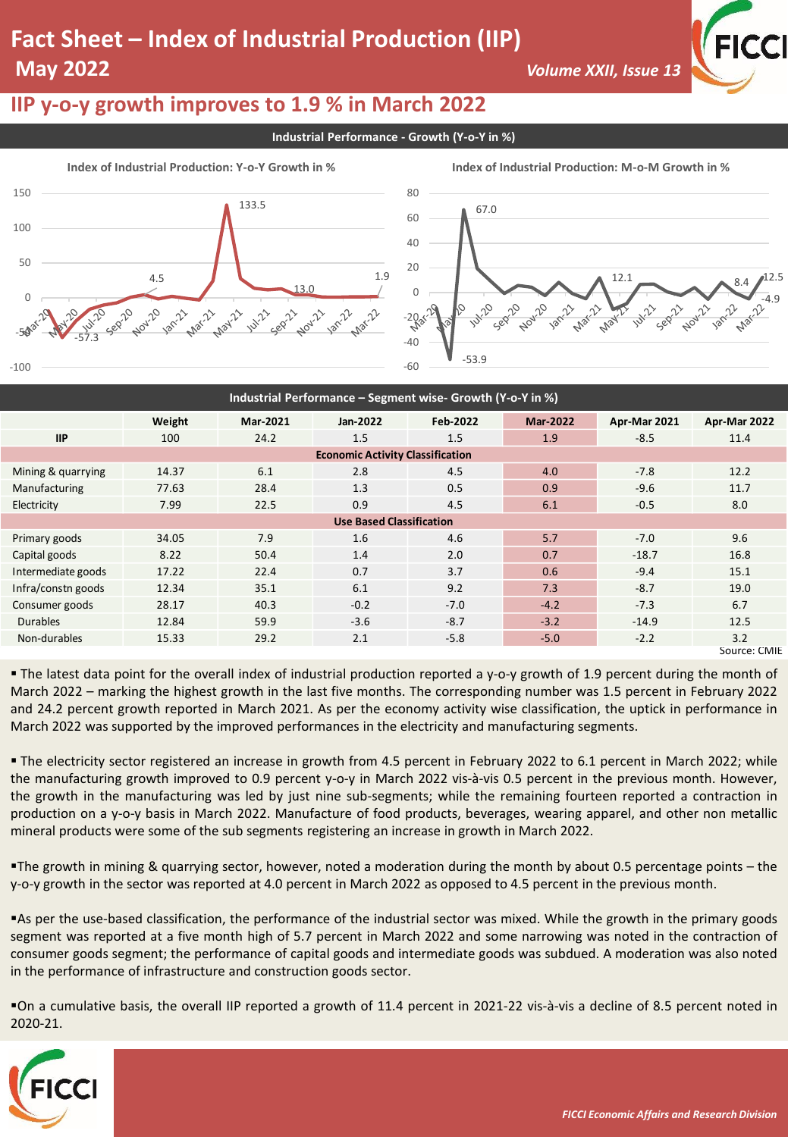# **Fact Sheet – Index of Industrial Production (IIP) May 2022** *Volume XXII, Issue 13*



### **IIP y-o-y growth improves to 1.9 % in March 2022**

**Industrial Performance - Growth (Y-o-Y in %)**



| Industrial Performance - Segment wise- Growth (Y-o-Y in %) |        |          |          |          |                 |              |              |
|------------------------------------------------------------|--------|----------|----------|----------|-----------------|--------------|--------------|
|                                                            | Weight | Mar-2021 | Jan-2022 | Feb-2022 | <b>Mar-2022</b> | Apr-Mar 2021 | Apr-Mar 2022 |
| <b>IIP</b>                                                 | 100    | 24.2     | 1.5      | 1.5      | 1.9             | $-8.5$       | 11.4         |
| <b>Economic Activity Classification</b>                    |        |          |          |          |                 |              |              |
| Mining & quarrying                                         | 14.37  | 6.1      | 2.8      | 4.5      | 4.0             | $-7.8$       | 12.2         |
| Manufacturing                                              | 77.63  | 28.4     | 1.3      | 0.5      | 0.9             | $-9.6$       | 11.7         |
| Electricity                                                | 7.99   | 22.5     | 0.9      | 4.5      | 6.1             | $-0.5$       | 8.0          |
| <b>Use Based Classification</b>                            |        |          |          |          |                 |              |              |
| Primary goods                                              | 34.05  | 7.9      | 1.6      | 4.6      | 5.7             | $-7.0$       | 9.6          |
| Capital goods                                              | 8.22   | 50.4     | 1.4      | 2.0      | 0.7             | $-18.7$      | 16.8         |
| Intermediate goods                                         | 17.22  | 22.4     | 0.7      | 3.7      | 0.6             | $-9.4$       | 15.1         |
| Infra/constn goods                                         | 12.34  | 35.1     | 6.1      | 9.2      | 7.3             | $-8.7$       | 19.0         |
| Consumer goods                                             | 28.17  | 40.3     | $-0.2$   | $-7.0$   | $-4.2$          | $-7.3$       | 6.7          |
| <b>Durables</b>                                            | 12.84  | 59.9     | $-3.6$   | $-8.7$   | $-3.2$          | $-14.9$      | 12.5         |
| Non-durables                                               | 15.33  | 29.2     | 2.1      | $-5.8$   | $-5.0$          | $-2.2$       | 3.2          |
|                                                            |        |          |          |          |                 |              | Source: CMIE |

▪ The latest data point for the overall index of industrial production reported a y-o-y growth of 1.9 percent during the month of March 2022 – marking the highest growth in the last five months. The corresponding number was 1.5 percent in February 2022 and 24.2 percent growth reported in March 2021. As per the economy activity wise classification, the uptick in performance in March 2022 was supported by the improved performances in the electricity and manufacturing segments.

▪ The electricity sector registered an increase in growth from 4.5 percent in February 2022 to 6.1 percent in March 2022; while the manufacturing growth improved to 0.9 percent y-o-y in March 2022 vis-à-vis 0.5 percent in the previous month. However, the growth in the manufacturing was led by just nine sub-segments; while the remaining fourteen reported a contraction in production on a y-o-y basis in March 2022. Manufacture of food products, beverages, wearing apparel, and other non metallic mineral products were some of the sub segments registering an increase in growth in March 2022.

▪The growth in mining & quarrying sector, however, noted a moderation during the month by about 0.5 percentage points – the y-o-y growth in the sector was reported at 4.0 percent in March 2022 as opposed to 4.5 percent in the previous month.

▪As per the use-based classification, the performance of the industrial sector was mixed. While the growth in the primary goods segment was reported at a five month high of 5.7 percent in March 2022 and some narrowing was noted in the contraction of consumer goods segment; the performance of capital goods and intermediate goods was subdued. A moderation was also noted in the performance of infrastructure and construction goods sector.

▪On a cumulative basis, the overall IIP reported a growth of 11.4 percent in 2021-22 vis-à-vis a decline of 8.5 percent noted in 2020-21.